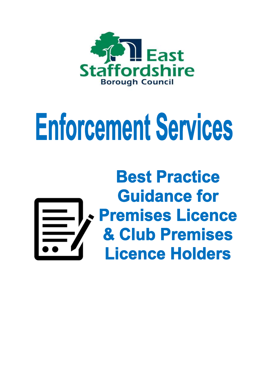

# **Enforcement Services**

# **Best Practice Guidance for Premises Licence** & Club Premises **Licence Holders**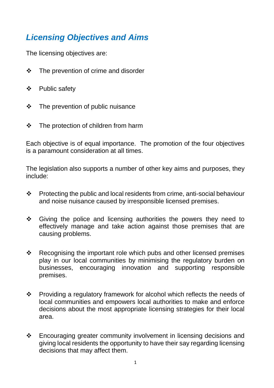## *Licensing Objectives and Aims*

The licensing objectives are:

- $\div$  The prevention of crime and disorder
- Public safety
- $\div$  The prevention of public nuisance
- $\div$  The protection of children from harm

Each objective is of equal importance. The promotion of the four objectives is a paramount consideration at all times.

The legislation also supports a number of other key aims and purposes, they include:

- Protecting the public and local residents from crime, anti-social behaviour and noise nuisance caused by irresponsible licensed premises.
- Giving the police and licensing authorities the powers they need to effectively manage and take action against those premises that are causing problems.
- $\div$  Recognising the important role which pubs and other licensed premises play in our local communities by minimising the regulatory burden on businesses, encouraging innovation and supporting responsible premises.
- Providing a regulatory framework for alcohol which reflects the needs of local communities and empowers local authorities to make and enforce decisions about the most appropriate licensing strategies for their local area.
- Encouraging greater community involvement in licensing decisions and giving local residents the opportunity to have their say regarding licensing decisions that may affect them.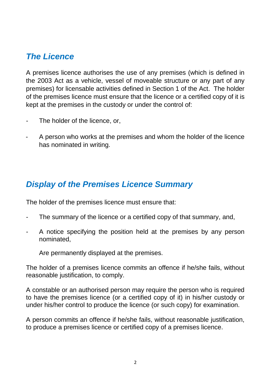#### *The Licence*

A premises licence authorises the use of any premises (which is defined in the 2003 Act as a vehicle, vessel of moveable structure or any part of any premises) for licensable activities defined in Section 1 of the Act. The holder of the premises licence must ensure that the licence or a certified copy of it is kept at the premises in the custody or under the control of:

- The holder of the licence, or,
- A person who works at the premises and whom the holder of the licence has nominated in writing.

#### *Display of the Premises Licence Summary*

The holder of the premises licence must ensure that:

- The summary of the licence or a certified copy of that summary, and,
- A notice specifying the position held at the premises by any person nominated,

Are permanently displayed at the premises.

The holder of a premises licence commits an offence if he/she fails, without reasonable justification, to comply.

A constable or an authorised person may require the person who is required to have the premises licence (or a certified copy of it) in his/her custody or under his/her control to produce the licence (or such copy) for examination.

A person commits an offence if he/she fails, without reasonable justification, to produce a premises licence or certified copy of a premises licence.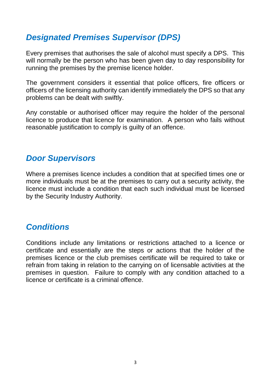#### *Designated Premises Supervisor (DPS)*

Every premises that authorises the sale of alcohol must specify a DPS. This will normally be the person who has been given day to day responsibility for running the premises by the premise licence holder.

The government considers it essential that police officers, fire officers or officers of the licensing authority can identify immediately the DPS so that any problems can be dealt with swiftly.

Any constable or authorised officer may require the holder of the personal licence to produce that licence for examination. A person who fails without reasonable justification to comply is guilty of an offence.

#### *Door Supervisors*

Where a premises licence includes a condition that at specified times one or more individuals must be at the premises to carry out a security activity, the licence must include a condition that each such individual must be licensed by the Security Industry Authority.

#### *Conditions*

Conditions include any limitations or restrictions attached to a licence or certificate and essentially are the steps or actions that the holder of the premises licence or the club premises certificate will be required to take or refrain from taking in relation to the carrying on of licensable activities at the premises in question. Failure to comply with any condition attached to a licence or certificate is a criminal offence.